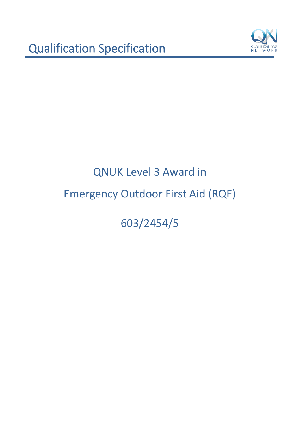

603/2454/5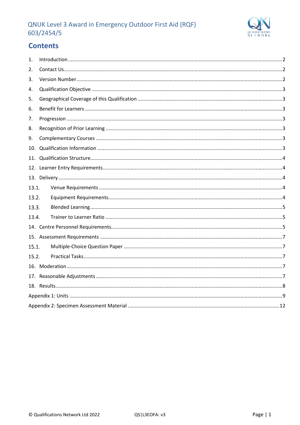

# **Contents**

| 1.    |  |
|-------|--|
| 2.    |  |
| 3.    |  |
| 4.    |  |
| 5.    |  |
| 6.    |  |
| 7.    |  |
| 8.    |  |
| 9.    |  |
| 10.   |  |
| 11.   |  |
|       |  |
|       |  |
| 13.1. |  |
| 13.2. |  |
| 13.3. |  |
| 13.4. |  |
|       |  |
|       |  |
| 15.1. |  |
| 15.2. |  |
|       |  |
|       |  |
|       |  |
|       |  |
|       |  |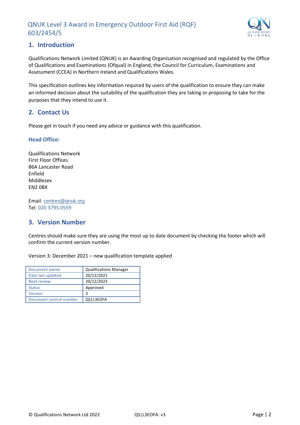

## <span id="page-2-0"></span>**1. Introduction**

Qualifications Network Limited (QNUK) is an Awarding Organisation recognised and regulated by the Office of Qualifications and Examinations (Ofqual) in England, the Council for Curriculum, Examinations and Assessment (CCEA) in Northern Ireland and Qualifications Wales.

This specification outlines key information required by users of the qualification to ensure they can make an informed decision about the suitability of the qualification they are taking or proposing to take for the purposes that they intend to use it.

## <span id="page-2-1"></span>**2. Contact Us**

Please get in touch if you need any advice or guidance with this qualification.

#### **Head Office:**

Qualifications Network First Floor Offices 86A Lancaster Road Enfield Middlesex EN2 0BX

Email: [centres@qnuk.org](mailto:CentreSupport@Qualifications-Network.co.uk) Tel: 020 3795 0559

## <span id="page-2-2"></span>**3. Version Number**

Centres should make sure they are using the most up to date document by checking the footer which will confirm the current version number.

Version 3: December 2021 – new qualification template applied

| Document owner          | <b>Qualifications Manager</b> |
|-------------------------|-------------------------------|
| Date last updated       | 20/12/2021                    |
| Next review             | 20/12/2023                    |
| <b>Status</b>           | Approved                      |
| Version                 | 3                             |
| Document control number | QS   L3EOFA                   |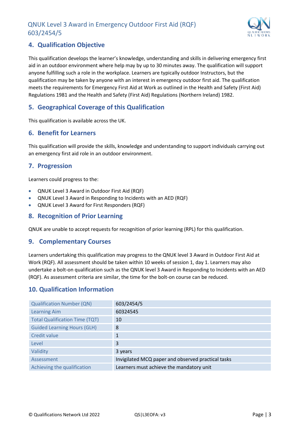

## <span id="page-3-0"></span>**4. Qualification Objective**

This qualification develops the learner's knowledge, understanding and skills in delivering emergency first aid in an outdoor environment where help may by up to 30 minutes away. The qualification will support anyone fulfilling such a role in the workplace. Learners are typically outdoor Instructors, but the qualification may be taken by anyone with an interest in emergency outdoor first aid. The qualification meets the requirements for Emergency First Aid at Work as outlined in the Health and Safety (First Aid) Regulations 1981 and the Health and Safety (First Aid) Regulations (Northern Ireland) 1982.

## <span id="page-3-1"></span>**5. Geographical Coverage of this Qualification**

This qualification is available across the UK.

#### <span id="page-3-2"></span>**6. Benefit for Learners**

This qualification will provide the skills, knowledge and understanding to support individuals carrying out an emergency first aid role in an outdoor environment.

#### <span id="page-3-3"></span>**7. Progression**

Learners could progress to the:

- QNUK Level 3 Award in Outdoor First Aid (RQF)
- QNUK Level 3 Award in Responding to Incidents with an AED (RQF)
- QNUK Level 3 Award for First Responders (RQF)

#### <span id="page-3-4"></span>**8. Recognition of Prior Learning**

QNUK are unable to accept requests for recognition of prior learning (RPL) for this qualification.

#### <span id="page-3-5"></span>**9. Complementary Courses**

Learners undertaking this qualification may progress to the QNUK level 3 Award in Outdoor First Aid at Work (RQF). All assessment should be taken within 10 weeks of session 1, day 1. Learners may also undertake a bolt-on qualification such as the QNUK level 3 Award in Responding to Incidents with an AED (RQF). As assessment criteria are similar, the time for the bolt-on course can be reduced.

#### <span id="page-3-6"></span>**10. Qualification Information**

| <b>Qualification Number (QN)</b>      | 603/2454/5                                         |
|---------------------------------------|----------------------------------------------------|
| <b>Learning Aim</b>                   | 60324545                                           |
| <b>Total Qualification Time (TQT)</b> | 10                                                 |
| <b>Guided Learning Hours (GLH)</b>    | 8                                                  |
| Credit value                          |                                                    |
| Level                                 | 3                                                  |
| Validity                              | 3 years                                            |
| Assessment                            | Invigilated MCQ paper and observed practical tasks |
| Achieving the qualification           | Learners must achieve the mandatory unit           |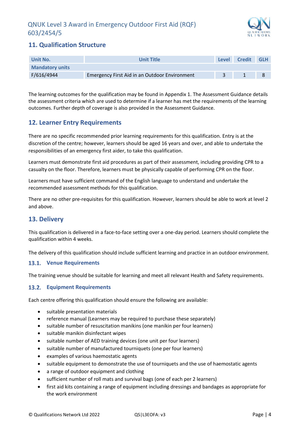

## <span id="page-4-0"></span>**11. Qualification Structure**

| Unit No.               | <b>Unit Title</b>                             | <b>Level</b> | <b>Credit</b> | <b>GLH</b> |
|------------------------|-----------------------------------------------|--------------|---------------|------------|
| <b>Mandatory units</b> |                                               |              |               |            |
| F/616/4944             | Emergency First Aid in an Outdoor Environment |              |               |            |

The learning outcomes for the qualification may be found in Appendix 1. The Assessment Guidance details the assessment criteria which are used to determine if a learner has met the requirements of the learning outcomes. Further depth of coverage is also provided in the Assessment Guidance.

## <span id="page-4-1"></span>**12. Learner Entry Requirements**

There are no specific recommended prior learning requirements for this qualification. Entry is at the discretion of the centre; however, learners should be aged 16 years and over, and able to undertake the responsibilities of an emergency first aider, to take this qualification.

Learners must demonstrate first aid procedures as part of their assessment, including providing CPR to a casualty on the floor. Therefore, learners must be physically capable of performing CPR on the floor.

Learners must have sufficient command of the English language to understand and undertake the recommended assessment methods for this qualification.

There are no other pre-requisites for this qualification. However, learners should be able to work at level 2 and above.

#### <span id="page-4-2"></span>**13. Delivery**

This qualification is delivered in a face-to-face setting over a one-day period. Learners should complete the qualification within 4 weeks.

The delivery of this qualification should include sufficient learning and practice in an outdoor environment.

#### <span id="page-4-3"></span>**Venue Requirements**

The training venue should be suitable for learning and meet all relevant Health and Safety requirements.

#### <span id="page-4-4"></span>**Equipment Requirements**

Each centre offering this qualification should ensure the following are available:

- suitable presentation materials
- reference manual (Learners may be required to purchase these separately)
- suitable number of resuscitation manikins (one manikin per four learners)
- suitable manikin disinfectant wipes
- suitable number of AED training devices (one unit per four learners)
- suitable number of manufactured tourniquets (one per four learners)
- examples of various haemostatic agents
- suitable equipment to demonstrate the use of tourniquets and the use of haemostatic agents
- a range of outdoor equipment and clothing
- sufficient number of roll mats and survival bags (one of each per 2 learners)
- first aid kits containing a range of equipment including dressings and bandages as appropriate for the work environment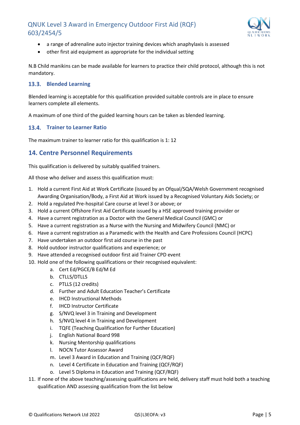

- a range of adrenaline auto injector training devices which anaphylaxis is assessed
- other first aid equipment as appropriate for the individual setting

N.B Child manikins can be made available for learners to practice their child protocol, although this is not mandatory.

#### <span id="page-5-0"></span>**Blended Learning**

Blended learning is acceptable for this qualification provided suitable controls are in place to ensure learners complete all elements.

A maximum of one third of the guided learning hours can be taken as blended learning.

#### <span id="page-5-1"></span>**13.4. Trainer to Learner Ratio**

The maximum trainer to learner ratio for this qualification is 1: 12

## <span id="page-5-2"></span>**14. Centre Personnel Requirements**

This qualification is delivered by suitably qualified trainers.

All those who deliver and assess this qualification must:

- 1. Hold a current First Aid at Work Certificate (issued by an Ofqual/SQA/Welsh Government recognised Awarding Organisation/Body, a First Aid at Work issued by a Recognised Voluntary Aids Society; or
- 2. Hold a regulated Pre-hospital Care course at level 3 or above; or
- 3. Hold a current Offshore First Aid Certificate issued by a HSE approved training provider or
- 4. Have a current registration as a Doctor with the General Medical Council (GMC) or
- 5. Have a current registration as a Nurse with the Nursing and Midwifery Council (NMC) or
- 6. Have a current registration as a Paramedic with the Health and Care Professions Council (HCPC)
- 7. Have undertaken an outdoor first aid course in the past
- 8. Hold outdoor instructor qualifications and experience; or
- 9. Have attended a recognised outdoor first aid Trainer CPD event
- 10. Hold one of the following qualifications or their recognised equivalent:
	- a. Cert Ed/PGCE/B Ed/M Ed
	- b. CTLLS/DTLLS
	- c. PTLLS (12 credits)
	- d. Further and Adult Education Teacher's Certificate
	- e. IHCD Instructional Methods
	- f. IHCD Instructor Certificate
	- g. S/NVQ level 3 in Training and Development
	- h. S/NVQ level 4 in Training and Development
	- i. TQFE (Teaching Qualification for Further Education)
	- j. English National Board 998
	- k. Nursing Mentorship qualifications
	- l. NOCN Tutor Assessor Award
	- m. Level 3 Award in Education and Training (QCF/RQF)
	- n. Level 4 Certificate in Education and Training (QCF/RQF)
	- o. Level 5 Diploma in Education and Training (QCF/RQF)
- 11. If none of the above teaching/assessing qualifications are held, delivery staff must hold both a teaching qualification AND assessing qualification from the list below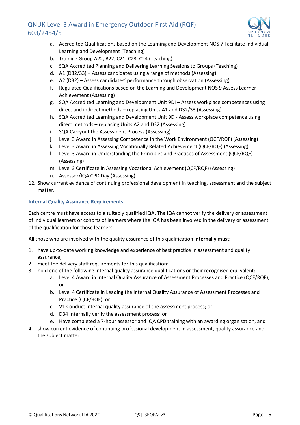

- a. Accredited Qualifications based on the Learning and Development NOS 7 Facilitate Individual Learning and Development (Teaching)
- b. Training Group A22, B22, C21, C23, C24 (Teaching)
- c. SQA Accredited Planning and Delivering Learning Sessions to Groups (Teaching)
- d. A1 (D32/33) Assess candidates using a range of methods (Assessing)
- e. A2 (D32) Assess candidates' performance through observation (Assessing)
- f. Regulated Qualifications based on the Learning and Development NOS 9 Assess Learner Achievement (Assessing)
- g. SQA Accredited Learning and Development Unit 9DI Assess workplace competences using direct and indirect methods – replacing Units A1 and D32/33 (Assessing)
- h. SQA Accredited Learning and Development Unit 9D Assess workplace competence using direct methods – replacing Units A2 and D32 (Assessing)
- i. SQA Carryout the Assessment Process (Assessing)
- j. Level 3 Award in Assessing Competence in the Work Environment (QCF/RQF) (Assessing)
- k. Level 3 Award in Assessing Vocationally Related Achievement (QCF/RQF) (Assessing)
- l. Level 3 Award in Understanding the Principles and Practices of Assessment (QCF/RQF) (Assessing)
- m. Level 3 Certificate in Assessing Vocational Achievement (QCF/RQF) (Assessing)
- n. Assessor/IQA CPD Day (Assessing)
- 12. Show current evidence of continuing professional development in teaching, assessment and the subject matter.

#### **Internal Quality Assurance Requirements**

Each centre must have access to a suitably qualified IQA. The IQA cannot verify the delivery or assessment of individual learners or cohorts of learners where the IQA has been involved in the delivery or assessment of the qualification for those learners.

All those who are involved with the quality assurance of this qualification **internally** must:

- 1. have up-to-date working knowledge and experience of best practice in assessment and quality assurance;
- 2. meet the delivery staff requirements for this qualification:
- 3. hold one of the following internal quality assurance qualifications or their recognised equivalent:
	- a. Level 4 Award in Internal Quality Assurance of Assessment Processes and Practice (QCF/RQF); or
	- b. Level 4 Certificate in Leading the Internal Quality Assurance of Assessment Processes and Practice (QCF/RQF); or
	- c. V1 Conduct internal quality assurance of the assessment process; or
	- d. D34 Internally verify the assessment process; or
	- e. Have completed a 7-hour assessor and IQA CPD training with an awarding organisation, and
- 4. show current evidence of continuing professional development in assessment, quality assurance and the subject matter.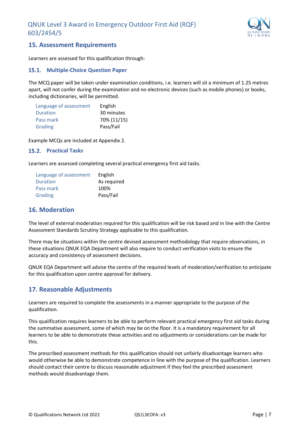

## <span id="page-7-0"></span>**15. Assessment Requirements**

Learners are assessed for this qualification through:

#### <span id="page-7-1"></span>**15.1. Multiple-Choice Question Paper**

The MCQ paper will be taken under examination conditions, i.e. learners will sit a minimum of 1.25 metres apart, will not confer during the examination and no electronic devices (such as mobile phones) or books, including dictionaries, will be permitted.

| Language of assessment | English     |
|------------------------|-------------|
| Duration               | 30 minutes  |
| Pass mark              | 70% (11/15) |
| Grading                | Pass/Fail   |

Example MCQs are included at Appendix 2.

#### <span id="page-7-2"></span>**Practical Tasks**

Learners are assessed completing several practical emergency first aid tasks.

| Language of assessment | English     |
|------------------------|-------------|
| <b>Duration</b>        | As required |
| Pass mark              | 100%        |
| Grading                | Pass/Fail   |

#### <span id="page-7-3"></span>**16. Moderation**

The level of external moderation required for this qualification will be risk based and in line with the Centre Assessment Standards Scrutiny Strategy applicable to this qualification.

There may be situations within the centre devised assessment methodology that require observations, in these situations QNUK EQA Department will also require to conduct verification visits to ensure the accuracy and consistency of assessment decisions.

QNUK EQA Department will advise the centre of the required levels of moderation/verification to anticipate for this qualification upon centre approval for delivery.

## <span id="page-7-4"></span>**17. Reasonable Adjustments**

Learners are required to complete the assessments in a manner appropriate to the purpose of the qualification.

This qualification requires learners to be able to perform relevant practical emergency first aid tasks during the summative assessment, some of which may be on the floor. It is a mandatory requirement for all learners to be able to demonstrate these activities and no adjustments or considerations can be made for this.

The prescribed assessment methods for this qualification should not unfairly disadvantage learners who would otherwise be able to demonstrate competence in line with the purpose of the qualification. Learners should contact their centre to discuss reasonable adjustment if they feel the prescribed assessment methods would disadvantage them.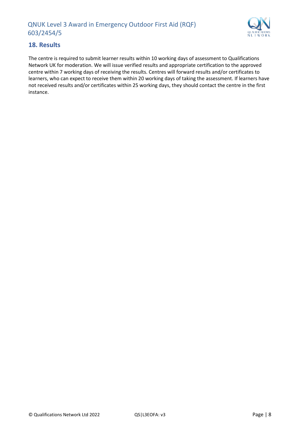

## <span id="page-8-0"></span>**18. Results**

The centre is required to submit learner results within 10 working days of assessment to Qualifications Network UK for moderation. We will issue verified results and appropriate certification to the approved centre within 7 working days of receiving the results. Centres will forward results and/or certificates to learners, who can expect to receive them within 20 working days of taking the assessment. If learners have not received results and/or certificates within 25 working days, they should contact the centre in the first instance.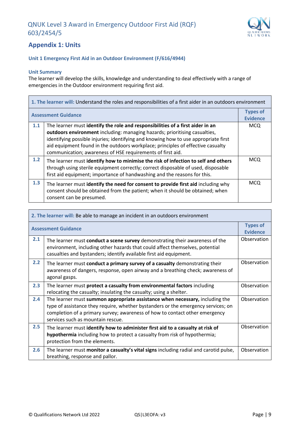

# <span id="page-9-0"></span>**Appendix 1: Units**

#### **Unit 1 Emergency First Aid in an Outdoor Environment (F/616/4944)**

#### **Unit Summary**

The learner will develop the skills, knowledge and understanding to deal effectively with a range of emergencies in the Outdoor environment requiring first aid.

| 1. The learner will: Understand the roles and responsibilities of a first aider in an outdoors environment |                                                                                                                                                                                                                                                                                                                                                                                                      |                                    |
|------------------------------------------------------------------------------------------------------------|------------------------------------------------------------------------------------------------------------------------------------------------------------------------------------------------------------------------------------------------------------------------------------------------------------------------------------------------------------------------------------------------------|------------------------------------|
| <b>Assessment Guidance</b>                                                                                 |                                                                                                                                                                                                                                                                                                                                                                                                      | <b>Types of</b><br><b>Evidence</b> |
| 1.1                                                                                                        | The learner must identify the role and responsibilities of a first aider in an<br>outdoors environment including: managing hazards; prioritising casualties,<br>identifying possible injuries; identifying and knowing how to use appropriate first<br>aid equipment found in the outdoors workplace; principles of effective casualty<br>communication; awareness of HSE requirements of first aid. | MCQ                                |
| 1.2                                                                                                        | The learner must identify how to minimise the risk of infection to self and others<br>through using sterile equipment correctly; correct disposable of used, disposable<br>first aid equipment; importance of handwashing and the reasons for this.                                                                                                                                                  | <b>MCQ</b>                         |
| 1.3                                                                                                        | The learner must identify the need for consent to provide first aid including why<br>consent should be obtained from the patient; when it should be obtained; when<br>consent can be presumed.                                                                                                                                                                                                       | <b>MCQ</b>                         |

| 2. The learner will: Be able to manage an incident in an outdoors environment |                                                                                                                                                                                                                                                                                       |                                    |
|-------------------------------------------------------------------------------|---------------------------------------------------------------------------------------------------------------------------------------------------------------------------------------------------------------------------------------------------------------------------------------|------------------------------------|
|                                                                               | <b>Assessment Guidance</b>                                                                                                                                                                                                                                                            | <b>Types of</b><br><b>Evidence</b> |
| 2.1                                                                           | The learner must conduct a scene survey demonstrating their awareness of the<br>environment, including other hazards that could affect themselves, potential<br>casualties and bystanders; identify available first aid equipment.                                                    | Observation                        |
| 2.2                                                                           | The learner must conduct a primary survey of a casualty demonstrating their<br>awareness of dangers, response, open airway and a breathing check; awareness of<br>agonal gasps.                                                                                                       | Observation                        |
| 2.3                                                                           | The learner must protect a casualty from environmental factors including<br>relocating the casualty; insulating the casualty; using a shelter.                                                                                                                                        | Observation                        |
| 2.4                                                                           | The learner must summon appropriate assistance when necessary, including the<br>type of assistance they require, whether bystanders or the emergency services; on<br>completion of a primary survey; awareness of how to contact other emergency<br>services such as mountain rescue. | Observation                        |
| 2.5                                                                           | The learner must identify how to administer first aid to a casualty at risk of<br>hypothermia including how to protect a casualty from risk of hypothermia;<br>protection from the elements.                                                                                          | Observation                        |
| 2.6                                                                           | The learner must monitor a casualty's vital signs including radial and carotid pulse,<br>breathing, response and pallor.                                                                                                                                                              | Observation                        |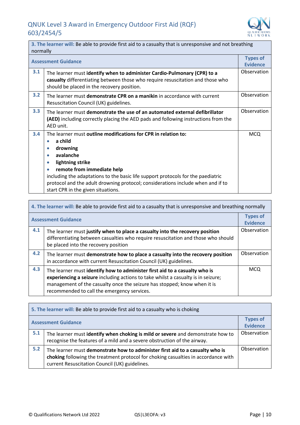

| 3. The learner will: Be able to provide first aid to a casualty that is unresponsive and not breathing<br>normally |                                                                                                                                                                                                                                                                                                                                                                                                                            |                                    |
|--------------------------------------------------------------------------------------------------------------------|----------------------------------------------------------------------------------------------------------------------------------------------------------------------------------------------------------------------------------------------------------------------------------------------------------------------------------------------------------------------------------------------------------------------------|------------------------------------|
|                                                                                                                    | <b>Assessment Guidance</b>                                                                                                                                                                                                                                                                                                                                                                                                 | <b>Types of</b><br><b>Evidence</b> |
| 3.1                                                                                                                | The learner must identify when to administer Cardio-Pulmonary (CPR) to a<br>casualty differentiating between those who require resuscitation and those who<br>should be placed in the recovery position.                                                                                                                                                                                                                   | Observation                        |
| 3.2                                                                                                                | The learner must demonstrate CPR on a manikin in accordance with current<br>Resuscitation Council (UK) guidelines.                                                                                                                                                                                                                                                                                                         | Observation                        |
| 3.3                                                                                                                | The learner must demonstrate the use of an automated external defibrillator<br><b>(AED)</b> including correctly placing the AED pads and following instructions from the<br>AED unit.                                                                                                                                                                                                                                      | Observation                        |
| 3.4                                                                                                                | The learner must outline modifications for CPR in relation to:<br>a child<br>$\bullet$<br>drowning<br>$\bullet$<br>avalanche<br>$\bullet$<br>lightning strike<br>$\bullet$<br>remote from immediate help<br>۰<br>including the adaptations to the basic life support protocols for the paediatric<br>protocol and the adult drowning protocol; considerations include when and if to<br>start CPR in the given situations. | <b>MCQ</b>                         |

| 4. The learner will: Be able to provide first aid to a casualty that is unresponsive and breathing normally |                                                                                                                                                                                                                                                                                            |                                    |
|-------------------------------------------------------------------------------------------------------------|--------------------------------------------------------------------------------------------------------------------------------------------------------------------------------------------------------------------------------------------------------------------------------------------|------------------------------------|
| <b>Assessment Guidance</b>                                                                                  |                                                                                                                                                                                                                                                                                            | <b>Types of</b><br><b>Evidence</b> |
| 4.1                                                                                                         | The learner must justify when to place a casualty into the recovery position<br>differentiating between casualties who require resuscitation and those who should<br>be placed into the recovery position                                                                                  | Observation                        |
| 4.2                                                                                                         | The learner must demonstrate how to place a casualty into the recovery position<br>in accordance with current Resuscitation Council (UK) guidelines.                                                                                                                                       | Observation                        |
| 4.3                                                                                                         | The learner must identify how to administer first aid to a casualty who is<br>experiencing a seizure including actions to take whilst a casualty is in seizure;<br>management of the casualty once the seizure has stopped; know when it is<br>recommended to call the emergency services. | <b>MCQ</b>                         |

| 5. The learner will: Be able to provide first aid to a casualty who is choking |                                                                                                                                                                                                                       |                                    |
|--------------------------------------------------------------------------------|-----------------------------------------------------------------------------------------------------------------------------------------------------------------------------------------------------------------------|------------------------------------|
| <b>Assessment Guidance</b>                                                     |                                                                                                                                                                                                                       | <b>Types of</b><br><b>Evidence</b> |
| 5.1                                                                            | The learner must identify when choking is mild or severe and demonstrate how to<br>recognise the features of a mild and a severe obstruction of the airway.                                                           | Observation                        |
| 5.2                                                                            | The learner must demonstrate how to administer first aid to a casualty who is<br>choking following the treatment protocol for choking casualties in accordance with<br>current Resuscitation Council (UK) guidelines. | Observation                        |

 $\mathbf{r}$ 

 $\overline{\phantom{a}}$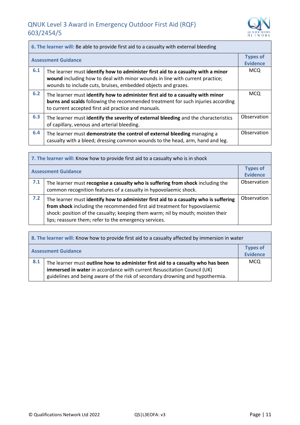Î.



| 6. The learner will: Be able to provide first aid to a casualty with external bleeding |                                                                                                                                                                                                                                   |                                    |
|----------------------------------------------------------------------------------------|-----------------------------------------------------------------------------------------------------------------------------------------------------------------------------------------------------------------------------------|------------------------------------|
| <b>Assessment Guidance</b>                                                             |                                                                                                                                                                                                                                   | <b>Types of</b><br><b>Evidence</b> |
| 6.1                                                                                    | The learner must identify how to administer first aid to a casualty with a minor<br>wound including how to deal with minor wounds in line with current practice;<br>wounds to include cuts, bruises, embedded objects and grazes. | <b>MCQ</b>                         |
| 6.2                                                                                    | The learner must identify how to administer first aid to a casualty with minor<br>burns and scalds following the recommended treatment for such injuries according<br>to current accepted first aid practice and manuals.         | <b>MCQ</b>                         |
| 6.3                                                                                    | The learner must identify the severity of external bleeding and the characteristics<br>of capillary, venous and arterial bleeding.                                                                                                | Observation                        |
| 6.4                                                                                    | The learner must demonstrate the control of external bleeding managing a<br>casualty with a bleed; dressing common wounds to the head, arm, hand and leg.                                                                         | Observation                        |

| 7. The learner will: Know how to provide first aid to a casualty who is in shock |                                                                                                                                                                                                                                                                                                               |                                    |  |
|----------------------------------------------------------------------------------|---------------------------------------------------------------------------------------------------------------------------------------------------------------------------------------------------------------------------------------------------------------------------------------------------------------|------------------------------------|--|
| <b>Assessment Guidance</b>                                                       |                                                                                                                                                                                                                                                                                                               | <b>Types of</b><br><b>Evidence</b> |  |
| 7.1                                                                              | The learner must recognise a casualty who is suffering from shock including the<br>common recognition features of a casualty in hypovolaemic shock.                                                                                                                                                           | Observation                        |  |
| 7.2                                                                              | The learner must identify how to administer first aid to a casualty who is suffering<br>from shock including the recommended first aid treatment for hypovolaemic<br>shock: position of the casualty; keeping them warm; nil by mouth; moisten their<br>lips; reassure them; refer to the emergency services. | Observation                        |  |

| 8. The learner will: Know how to provide first aid to a casualty affected by immersion in water |                                                                                                                                                                                                                                             |                             |  |
|-------------------------------------------------------------------------------------------------|---------------------------------------------------------------------------------------------------------------------------------------------------------------------------------------------------------------------------------------------|-----------------------------|--|
| <b>Assessment Guidance</b>                                                                      |                                                                                                                                                                                                                                             | <b>Types of</b><br>Evidence |  |
| 8.1                                                                                             | The learner must outline how to administer first aid to a casualty who has been<br>immersed in water in accordance with current Resuscitation Council (UK)<br>guidelines and being aware of the risk of secondary drowning and hypothermia. | <b>MCQ</b>                  |  |